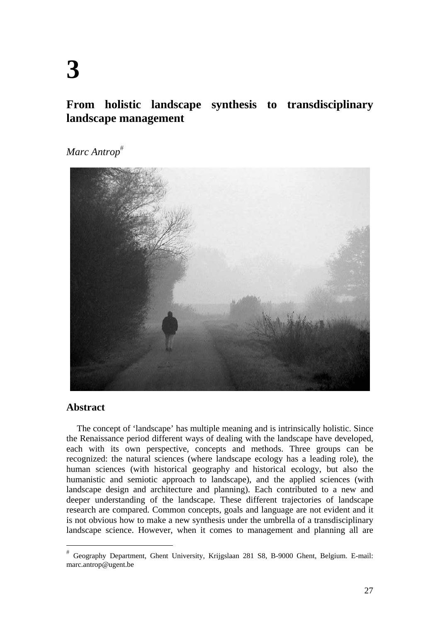**From holistic landscape synthesis to transdisciplinary landscape management** 

*Marc Antrop*



# **Abstract**

The concept of 'landscape' has multiple meaning and is intrinsically holistic. Since the Renaissance period different ways of dealing with the landscape have developed, each with its own perspective, concepts and methods. Three groups can be recognized: the natural sciences (where landscape ecology has a leading role), the human sciences (with historical geography and historical ecology, but also the humanistic and semiotic approach to landscape), and the applied sciences (with landscape design and architecture and planning). Each contributed to a new and deeper understanding of the landscape. These different trajectories of landscape research are compared. Common concepts, goals and language are not evident and it is not obvious how to make a new synthesis under the umbrella of a transdisciplinary landscape science. However, when it comes to management and planning all are

Geography Department, Ghent University, Krijgslaan 281 S8, B-9000 Ghent, Belgium. E-mail: marc.antrop@ugent.be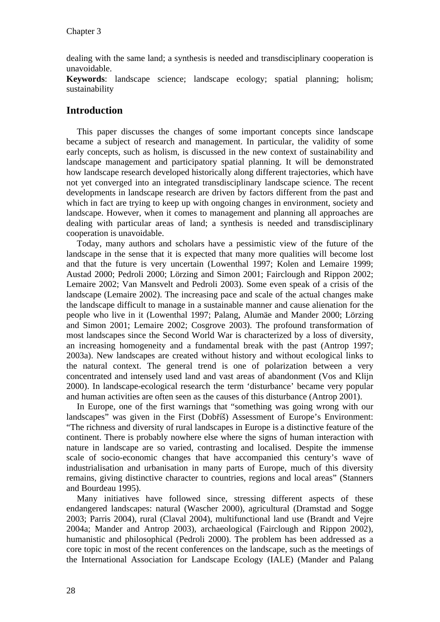dealing with the same land; a synthesis is needed and transdisciplinary cooperation is unavoidable.

**Keywords**: landscape science; landscape ecology; spatial planning; holism; sustainability

# **Introduction**

This paper discusses the changes of some important concepts since landscape became a subject of research and management. In particular, the validity of some early concepts, such as holism, is discussed in the new context of sustainability and landscape management and participatory spatial planning. It will be demonstrated how landscape research developed historically along different trajectories, which have not yet converged into an integrated transdisciplinary landscape science. The recent developments in landscape research are driven by factors different from the past and which in fact are trying to keep up with ongoing changes in environment, society and landscape. However, when it comes to management and planning all approaches are dealing with particular areas of land; a synthesis is needed and transdisciplinary cooperation is unavoidable.

Today, many authors and scholars have a pessimistic view of the future of the landscape in the sense that it is expected that many more qualities will become lost and that the future is very uncertain (Lowenthal 1997; Kolen and Lemaire 1999; Austad 2000; Pedroli 2000; Lörzing and Simon 2001; Fairclough and Rippon 2002; Lemaire 2002; Van Mansvelt and Pedroli 2003). Some even speak of a crisis of the landscape (Lemaire 2002). The increasing pace and scale of the actual changes make the landscape difficult to manage in a sustainable manner and cause alienation for the people who live in it (Lowenthal 1997; Palang, Alumäe and Mander 2000; Lörzing and Simon 2001; Lemaire 2002; Cosgrove 2003). The profound transformation of most landscapes since the Second World War is characterized by a loss of diversity, an increasing homogeneity and a fundamental break with the past (Antrop 1997; 2003a). New landscapes are created without history and without ecological links to the natural context. The general trend is one of polarization between a very concentrated and intensely used land and vast areas of abandonment (Vos and Klijn 2000). In landscape-ecological research the term 'disturbance' became very popular and human activities are often seen as the causes of this disturbance (Antrop 2001).

In Europe, one of the first warnings that "something was going wrong with our landscapes" was given in the First (Dobříš) Assessment of Europe's Environment: "The richness and diversity of rural landscapes in Europe is a distinctive feature of the continent. There is probably nowhere else where the signs of human interaction with nature in landscape are so varied, contrasting and localised. Despite the immense scale of socio-economic changes that have accompanied this century's wave of industrialisation and urbanisation in many parts of Europe, much of this diversity remains, giving distinctive character to countries, regions and local areas" (Stanners and Bourdeau 1995).

Many initiatives have followed since, stressing different aspects of these endangered landscapes: natural (Wascher 2000), agricultural (Dramstad and Sogge 2003; Parris 2004), rural (Claval 2004), multifunctional land use (Brandt and Vejre 2004a; Mander and Antrop 2003), archaeological (Fairclough and Rippon 2002), humanistic and philosophical (Pedroli 2000). The problem has been addressed as a core topic in most of the recent conferences on the landscape, such as the meetings of the International Association for Landscape Ecology (IALE) (Mander and Palang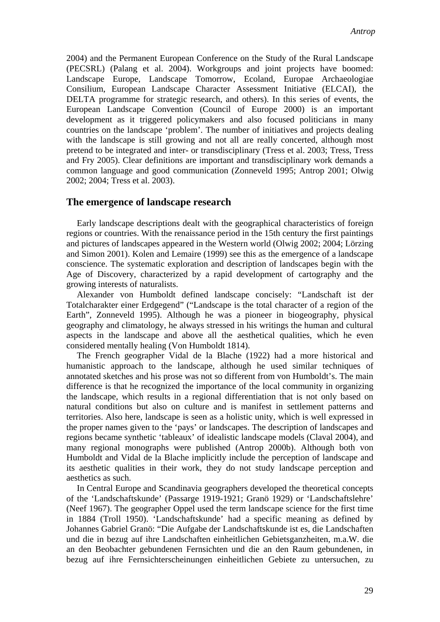2004) and the Permanent European Conference on the Study of the Rural Landscape (PECSRL) (Palang et al. 2004). Workgroups and joint projects have boomed: Landscape Europe, Landscape Tomorrow, Ecoland, Europae Archaeologiae Consilium, European Landscape Character Assessment Initiative (ELCAI), the DELTA programme for strategic research, and others). In this series of events, the European Landscape Convention (Council of Europe 2000) is an important development as it triggered policymakers and also focused politicians in many countries on the landscape 'problem'. The number of initiatives and projects dealing with the landscape is still growing and not all are really concerted, although most pretend to be integrated and inter- or transdisciplinary (Tress et al. 2003; Tress, Tress and Fry 2005). Clear definitions are important and transdisciplinary work demands a common language and good communication (Zonneveld 1995; Antrop 2001; Olwig 2002; 2004; Tress et al. 2003).

## **The emergence of landscape research**

Early landscape descriptions dealt with the geographical characteristics of foreign regions or countries. With the renaissance period in the 15th century the first paintings and pictures of landscapes appeared in the Western world (Olwig 2002; 2004; Lörzing and Simon 2001). Kolen and Lemaire (1999) see this as the emergence of a landscape conscience. The systematic exploration and description of landscapes begin with the Age of Discovery, characterized by a rapid development of cartography and the growing interests of naturalists.

Alexander von Humboldt defined landscape concisely: "Landschaft ist der Totalcharakter einer Erdgegend" ("Landscape is the total character of a region of the Earth", Zonneveld 1995). Although he was a pioneer in biogeography, physical geography and climatology, he always stressed in his writings the human and cultural aspects in the landscape and above all the aesthetical qualities, which he even considered mentally healing (Von Humboldt 1814).

The French geographer Vidal de la Blache (1922) had a more historical and humanistic approach to the landscape, although he used similar techniques of annotated sketches and his prose was not so different from von Humboldt's. The main difference is that he recognized the importance of the local community in organizing the landscape, which results in a regional differentiation that is not only based on natural conditions but also on culture and is manifest in settlement patterns and territories. Also here, landscape is seen as a holistic unity, which is well expressed in the proper names given to the 'pays' or landscapes. The description of landscapes and regions became synthetic 'tableaux' of idealistic landscape models (Claval 2004), and many regional monographs were published (Antrop 2000b). Although both von Humboldt and Vidal de la Blache implicitly include the perception of landscape and its aesthetic qualities in their work, they do not study landscape perception and aesthetics as such.

In Central Europe and Scandinavia geographers developed the theoretical concepts of the 'Landschaftskunde' (Passarge 1919-1921; Granö 1929) or 'Landschaftslehre' (Neef 1967). The geographer Oppel used the term landscape science for the first time in 1884 (Troll 1950). 'Landschaftskunde' had a specific meaning as defined by Johannes Gabriel Granö: "Die Aufgabe der Landschaftskunde ist es, die Landschaften und die in bezug auf ihre Landschaften einheitlichen Gebietsganzheiten, m.a.W. die an den Beobachter gebundenen Fernsichten und die an den Raum gebundenen, in bezug auf ihre Fernsichterscheinungen einheitlichen Gebiete zu untersuchen, zu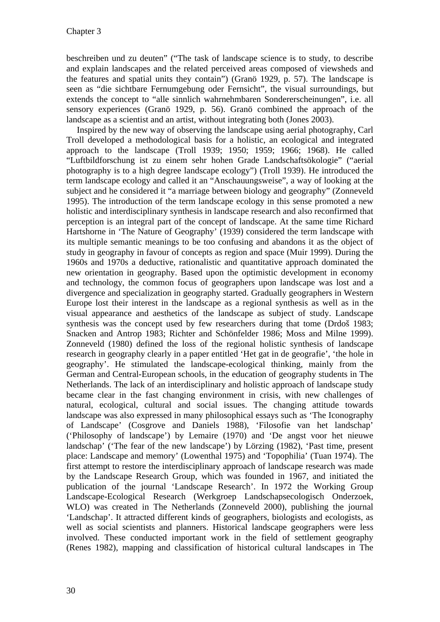beschreiben und zu deuten" ("The task of landscape science is to study, to describe and explain landscapes and the related perceived areas composed of viewsheds and the features and spatial units they contain") (Granö 1929, p. 57). The landscape is seen as "die sichtbare Fernumgebung oder Fernsicht", the visual surroundings, but extends the concept to "alle sinnlich wahrnehmbaren Sondererscheinungen", i.e. all sensory experiences (Granö 1929, p. 56). Granö combined the approach of the landscape as a scientist and an artist, without integrating both (Jones 2003).

Inspired by the new way of observing the landscape using aerial photography, Carl Troll developed a methodological basis for a holistic, an ecological and integrated approach to the landscape (Troll 1939; 1950; 1959; 1966; 1968). He called "Luftbildforschung ist zu einem sehr hohen Grade Landschaftsökologie" ("aerial photography is to a high degree landscape ecology") (Troll 1939). He introduced the term landscape ecology and called it an "Anschauungsweise", a way of looking at the subject and he considered it "a marriage between biology and geography" (Zonneveld 1995). The introduction of the term landscape ecology in this sense promoted a new holistic and interdisciplinary synthesis in landscape research and also reconfirmed that perception is an integral part of the concept of landscape. At the same time Richard Hartshorne in 'The Nature of Geography' (1939) considered the term landscape with its multiple semantic meanings to be too confusing and abandons it as the object of study in geography in favour of concepts as region and space (Muir 1999). During the 1960s and 1970s a deductive, rationalistic and quantitative approach dominated the new orientation in geography. Based upon the optimistic development in economy and technology, the common focus of geographers upon landscape was lost and a divergence and specialization in geography started. Gradually geographers in Western Europe lost their interest in the landscape as a regional synthesis as well as in the visual appearance and aesthetics of the landscape as subject of study. Landscape synthesis was the concept used by few researchers during that tome (Drdoš 1983; Snacken and Antrop 1983; Richter and Schönfelder 1986; Moss and Milne 1999). Zonneveld (1980) defined the loss of the regional holistic synthesis of landscape research in geography clearly in a paper entitled 'Het gat in de geografie', 'the hole in geography'. He stimulated the landscape-ecological thinking, mainly from the German and Central-European schools, in the education of geography students in The Netherlands. The lack of an interdisciplinary and holistic approach of landscape study became clear in the fast changing environment in crisis, with new challenges of natural, ecological, cultural and social issues. The changing attitude towards landscape was also expressed in many philosophical essays such as 'The Iconography of Landscape' (Cosgrove and Daniels 1988), 'Filosofie van het landschap' ('Philosophy of landscape') by Lemaire (1970) and 'De angst voor het nieuwe landschap' ('The fear of the new landscape') by Lörzing (1982), 'Past time, present place: Landscape and memory' (Lowenthal 1975) and 'Topophilia' (Tuan 1974). The first attempt to restore the interdisciplinary approach of landscape research was made by the Landscape Research Group, which was founded in 1967, and initiated the publication of the journal 'Landscape Research'. In 1972 the Working Group Landscape-Ecological Research (Werkgroep Landschapsecologisch Onderzoek, WLO) was created in The Netherlands (Zonneveld 2000), publishing the journal 'Landschap'. It attracted different kinds of geographers, biologists and ecologists, as well as social scientists and planners. Historical landscape geographers were less involved. These conducted important work in the field of settlement geography (Renes 1982), mapping and classification of historical cultural landscapes in The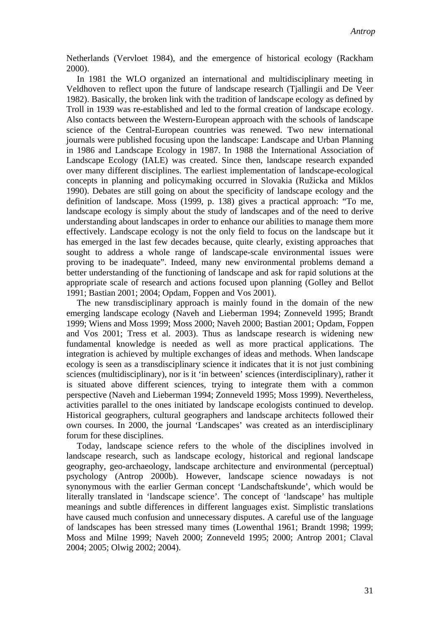Netherlands (Vervloet 1984), and the emergence of historical ecology (Rackham 2000).

In 1981 the WLO organized an international and multidisciplinary meeting in Veldhoven to reflect upon the future of landscape research (Tjallingii and De Veer 1982). Basically, the broken link with the tradition of landscape ecology as defined by Troll in 1939 was re-established and led to the formal creation of landscape ecology. Also contacts between the Western-European approach with the schools of landscape science of the Central-European countries was renewed. Two new international journals were published focusing upon the landscape: Landscape and Urban Planning in 1986 and Landscape Ecology in 1987. In 1988 the International Association of Landscape Ecology (IALE) was created. Since then, landscape research expanded over many different disciplines. The earliest implementation of landscape-ecological concepts in planning and policymaking occurred in Slovakia (Ružicka and Miklos 1990). Debates are still going on about the specificity of landscape ecology and the definition of landscape. Moss (1999, p. 138) gives a practical approach: "To me, landscape ecology is simply about the study of landscapes and of the need to derive understanding about landscapes in order to enhance our abilities to manage them more effectively. Landscape ecology is not the only field to focus on the landscape but it has emerged in the last few decades because, quite clearly, existing approaches that sought to address a whole range of landscape-scale environmental issues were proving to be inadequate". Indeed, many new environmental problems demand a better understanding of the functioning of landscape and ask for rapid solutions at the appropriate scale of research and actions focused upon planning (Golley and Bellot 1991; Bastian 2001; 2004; Opdam, Foppen and Vos 2001).

The new transdisciplinary approach is mainly found in the domain of the new emerging landscape ecology (Naveh and Lieberman 1994; Zonneveld 1995; Brandt 1999; Wiens and Moss 1999; Moss 2000; Naveh 2000; Bastian 2001; Opdam, Foppen and Vos 2001; Tress et al. 2003). Thus as landscape research is widening new fundamental knowledge is needed as well as more practical applications. The integration is achieved by multiple exchanges of ideas and methods. When landscape ecology is seen as a transdisciplinary science it indicates that it is not just combining sciences (multidisciplinary), nor is it 'in between' sciences (interdisciplinary), rather it is situated above different sciences, trying to integrate them with a common perspective (Naveh and Lieberman 1994; Zonneveld 1995; Moss 1999). Nevertheless, activities parallel to the ones initiated by landscape ecologists continued to develop. Historical geographers, cultural geographers and landscape architects followed their own courses. In 2000, the journal 'Landscapes' was created as an interdisciplinary forum for these disciplines.

Today, landscape science refers to the whole of the disciplines involved in landscape research, such as landscape ecology, historical and regional landscape geography, geo-archaeology, landscape architecture and environmental (perceptual) psychology (Antrop 2000b). However, landscape science nowadays is not synonymous with the earlier German concept 'Landschaftskunde', which would be literally translated in 'landscape science'. The concept of 'landscape' has multiple meanings and subtle differences in different languages exist. Simplistic translations have caused much confusion and unnecessary disputes. A careful use of the language of landscapes has been stressed many times (Lowenthal 1961; Brandt 1998; 1999; Moss and Milne 1999; Naveh 2000; Zonneveld 1995; 2000; Antrop 2001; Claval 2004; 2005; Olwig 2002; 2004).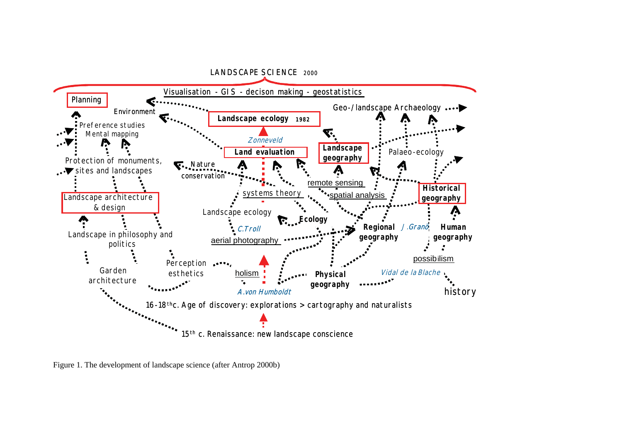

Figure 1. The development of landscape science (after Antrop 2000b)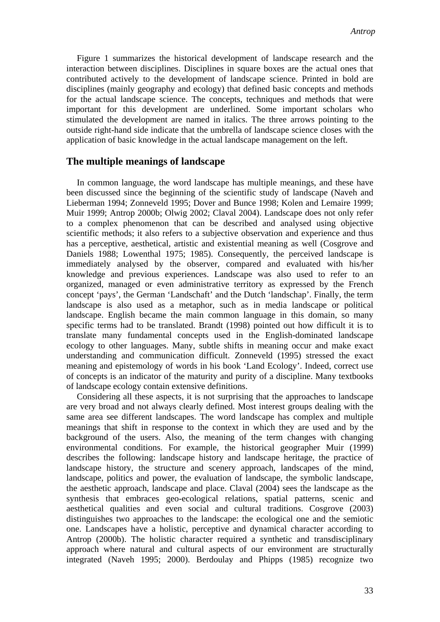Figure 1 summarizes the historical development of landscape research and the interaction between disciplines. Disciplines in square boxes are the actual ones that contributed actively to the development of landscape science. Printed in bold are disciplines (mainly geography and ecology) that defined basic concepts and methods for the actual landscape science. The concepts, techniques and methods that were important for this development are underlined. Some important scholars who stimulated the development are named in italics. The three arrows pointing to the outside right-hand side indicate that the umbrella of landscape science closes with the application of basic knowledge in the actual landscape management on the left.

## **The multiple meanings of landscape**

In common language, the word landscape has multiple meanings, and these have been discussed since the beginning of the scientific study of landscape (Naveh and Lieberman 1994; Zonneveld 1995; Dover and Bunce 1998; Kolen and Lemaire 1999; Muir 1999; Antrop 2000b; Olwig 2002; Claval 2004). Landscape does not only refer to a complex phenomenon that can be described and analysed using objective scientific methods; it also refers to a subjective observation and experience and thus has a perceptive, aesthetical, artistic and existential meaning as well (Cosgrove and Daniels 1988; Lowenthal 1975; 1985). Consequently, the perceived landscape is immediately analysed by the observer, compared and evaluated with his/her knowledge and previous experiences. Landscape was also used to refer to an organized, managed or even administrative territory as expressed by the French concept 'pays', the German 'Landschaft' and the Dutch 'landschap'. Finally, the term landscape is also used as a metaphor, such as in media landscape or political landscape. English became the main common language in this domain, so many specific terms had to be translated. Brandt (1998) pointed out how difficult it is to translate many fundamental concepts used in the English-dominated landscape ecology to other languages. Many, subtle shifts in meaning occur and make exact understanding and communication difficult. Zonneveld (1995) stressed the exact meaning and epistemology of words in his book 'Land Ecology'. Indeed, correct use of concepts is an indicator of the maturity and purity of a discipline. Many textbooks of landscape ecology contain extensive definitions.

Considering all these aspects, it is not surprising that the approaches to landscape are very broad and not always clearly defined. Most interest groups dealing with the same area see different landscapes. The word landscape has complex and multiple meanings that shift in response to the context in which they are used and by the background of the users. Also, the meaning of the term changes with changing environmental conditions. For example, the historical geographer Muir (1999) describes the following: landscape history and landscape heritage, the practice of landscape history, the structure and scenery approach, landscapes of the mind, landscape, politics and power, the evaluation of landscape, the symbolic landscape, the aesthetic approach, landscape and place. Claval (2004) sees the landscape as the synthesis that embraces geo-ecological relations, spatial patterns, scenic and aesthetical qualities and even social and cultural traditions. Cosgrove (2003) distinguishes two approaches to the landscape: the ecological one and the semiotic one. Landscapes have a holistic, perceptive and dynamical character according to Antrop (2000b). The holistic character required a synthetic and transdisciplinary approach where natural and cultural aspects of our environment are structurally integrated (Naveh 1995; 2000). Berdoulay and Phipps (1985) recognize two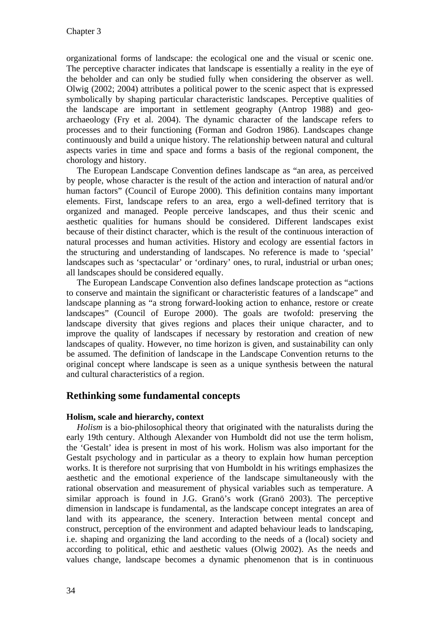organizational forms of landscape: the ecological one and the visual or scenic one. The perceptive character indicates that landscape is essentially a reality in the eye of the beholder and can only be studied fully when considering the observer as well. Olwig (2002; 2004) attributes a political power to the scenic aspect that is expressed symbolically by shaping particular characteristic landscapes. Perceptive qualities of the landscape are important in settlement geography (Antrop 1988) and geoarchaeology (Fry et al. 2004). The dynamic character of the landscape refers to processes and to their functioning (Forman and Godron 1986). Landscapes change continuously and build a unique history. The relationship between natural and cultural aspects varies in time and space and forms a basis of the regional component, the chorology and history.

The European Landscape Convention defines landscape as "an area, as perceived by people, whose character is the result of the action and interaction of natural and/or human factors" (Council of Europe 2000). This definition contains many important elements. First, landscape refers to an area, ergo a well-defined territory that is organized and managed. People perceive landscapes, and thus their scenic and aesthetic qualities for humans should be considered. Different landscapes exist because of their distinct character, which is the result of the continuous interaction of natural processes and human activities. History and ecology are essential factors in the structuring and understanding of landscapes. No reference is made to 'special' landscapes such as 'spectacular' or 'ordinary' ones, to rural, industrial or urban ones; all landscapes should be considered equally.

The European Landscape Convention also defines landscape protection as "actions to conserve and maintain the significant or characteristic features of a landscape" and landscape planning as "a strong forward-looking action to enhance, restore or create landscapes" (Council of Europe 2000). The goals are twofold: preserving the landscape diversity that gives regions and places their unique character, and to improve the quality of landscapes if necessary by restoration and creation of new landscapes of quality. However, no time horizon is given, and sustainability can only be assumed. The definition of landscape in the Landscape Convention returns to the original concept where landscape is seen as a unique synthesis between the natural and cultural characteristics of a region.

## **Rethinking some fundamental concepts**

### **Holism, scale and hierarchy, context**

*Holism* is a bio-philosophical theory that originated with the naturalists during the early 19th century. Although Alexander von Humboldt did not use the term holism, the 'Gestalt' idea is present in most of his work. Holism was also important for the Gestalt psychology and in particular as a theory to explain how human perception works. It is therefore not surprising that von Humboldt in his writings emphasizes the aesthetic and the emotional experience of the landscape simultaneously with the rational observation and measurement of physical variables such as temperature. A similar approach is found in J.G. Granö's work (Granö 2003). The perceptive dimension in landscape is fundamental, as the landscape concept integrates an area of land with its appearance, the scenery. Interaction between mental concept and construct, perception of the environment and adapted behaviour leads to landscaping, i.e. shaping and organizing the land according to the needs of a (local) society and according to political, ethic and aesthetic values (Olwig 2002). As the needs and values change, landscape becomes a dynamic phenomenon that is in continuous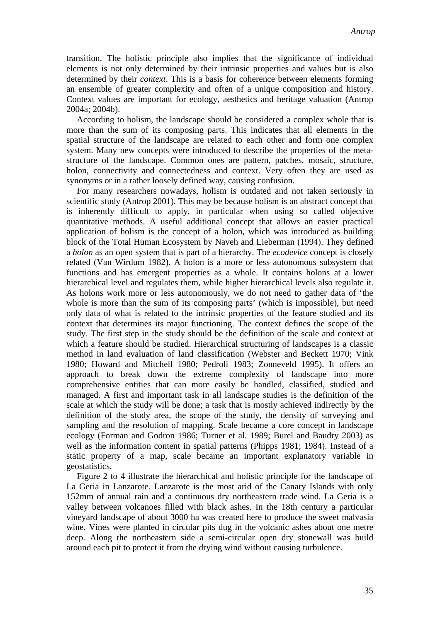transition. The holistic principle also implies that the significance of individual elements is not only determined by their intrinsic properties and values but is also determined by their *context*. This is a basis for coherence between elements forming an ensemble of greater complexity and often of a unique composition and history. Context values are important for ecology, aesthetics and heritage valuation (Antrop 2004a; 2004b).

According to holism, the landscape should be considered a complex whole that is more than the sum of its composing parts. This indicates that all elements in the spatial structure of the landscape are related to each other and form one complex system. Many new concepts were introduced to describe the properties of the metastructure of the landscape. Common ones are pattern, patches, mosaic, structure, holon, connectivity and connectedness and context. Very often they are used as synonyms or in a rather loosely defined way, causing confusion.

For many researchers nowadays, holism is outdated and not taken seriously in scientific study (Antrop 2001). This may be because holism is an abstract concept that is inherently difficult to apply, in particular when using so called objective quantitative methods. A useful additional concept that allows an easier practical application of holism is the concept of a holon, which was introduced as building block of the Total Human Ecosystem by Naveh and Lieberman (1994). They defined a *holon* as an open system that is part of a hierarchy. The *ecodevice* concept is closely related (Van Wirdum 1982). A holon is a more or less autonomous subsystem that functions and has emergent properties as a whole. It contains holons at a lower hierarchical level and regulates them, while higher hierarchical levels also regulate it. As holons work more or less autonomously, we do not need to gather data of 'the whole is more than the sum of its composing parts' (which is impossible), but need only data of what is related to the intrinsic properties of the feature studied and its context that determines its major functioning. The context defines the scope of the study. The first step in the study should be the definition of the scale and context at which a feature should be studied. Hierarchical structuring of landscapes is a classic method in land evaluation of land classification (Webster and Beckett 1970; Vink 1980; Howard and Mitchell 1980; Pedroli 1983; Zonneveld 1995). It offers an approach to break down the extreme complexity of landscape into more comprehensive entities that can more easily be handled, classified, studied and managed. A first and important task in all landscape studies is the definition of the scale at which the study will be done; a task that is mostly achieved indirectly by the definition of the study area, the scope of the study, the density of surveying and sampling and the resolution of mapping. Scale became a core concept in landscape ecology (Forman and Godron 1986; Turner et al. 1989; Burel and Baudry 2003) as well as the information content in spatial patterns (Phipps 1981; 1984). Instead of a static property of a map, scale became an important explanatory variable in geostatistics.

Figure 2 to 4 illustrate the hierarchical and holistic principle for the landscape of La Geria in Lanzarote. Lanzarote is the most arid of the Canary Islands with only 152mm of annual rain and a continuous dry northeastern trade wind. La Geria is a valley between volcanoes filled with black ashes. In the 18th century a particular vineyard landscape of about 3000 ha was created here to produce the sweet malvasia wine. Vines were planted in circular pits dug in the volcanic ashes about one metre deep. Along the northeastern side a semi-circular open dry stonewall was build around each pit to protect it from the drying wind without causing turbulence.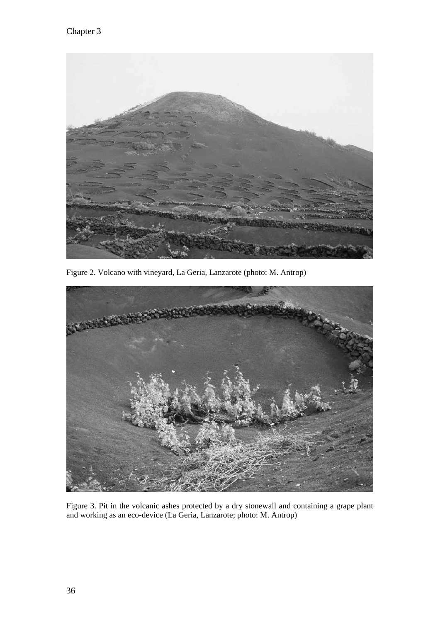

Figure 2. Volcano with vineyard, La Geria, Lanzarote (photo: M. Antrop)



Figure 3. Pit in the volcanic ashes protected by a dry stonewall and containing a grape plant and working as an eco-device (La Geria, Lanzarote; photo: M. Antrop)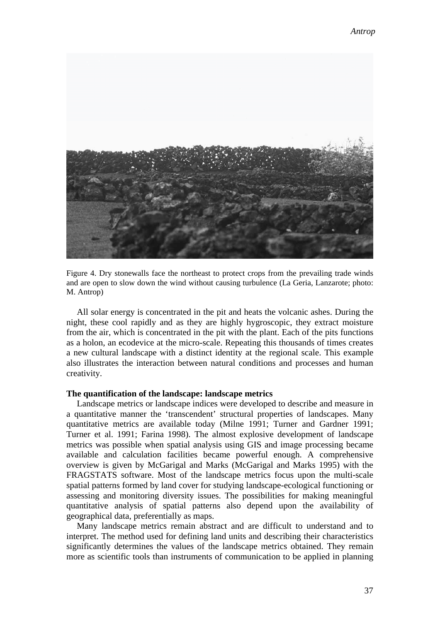

Figure 4. Dry stonewalls face the northeast to protect crops from the prevailing trade winds and are open to slow down the wind without causing turbulence (La Geria, Lanzarote; photo: M. Antrop)

All solar energy is concentrated in the pit and heats the volcanic ashes. During the night, these cool rapidly and as they are highly hygroscopic, they extract moisture from the air, which is concentrated in the pit with the plant. Each of the pits functions as a holon, an ecodevice at the micro-scale. Repeating this thousands of times creates a new cultural landscape with a distinct identity at the regional scale. This example also illustrates the interaction between natural conditions and processes and human creativity.

#### **The quantification of the landscape: landscape metrics**

Landscape metrics or landscape indices were developed to describe and measure in a quantitative manner the 'transcendent' structural properties of landscapes. Many quantitative metrics are available today (Milne 1991; Turner and Gardner 1991; Turner et al. 1991; Farina 1998). The almost explosive development of landscape metrics was possible when spatial analysis using GIS and image processing became available and calculation facilities became powerful enough. A comprehensive overview is given by McGarigal and Marks (McGarigal and Marks 1995) with the FRAGSTATS software. Most of the landscape metrics focus upon the multi-scale spatial patterns formed by land cover for studying landscape-ecological functioning or assessing and monitoring diversity issues. The possibilities for making meaningful quantitative analysis of spatial patterns also depend upon the availability of geographical data, preferentially as maps.

Many landscape metrics remain abstract and are difficult to understand and to interpret. The method used for defining land units and describing their characteristics significantly determines the values of the landscape metrics obtained. They remain more as scientific tools than instruments of communication to be applied in planning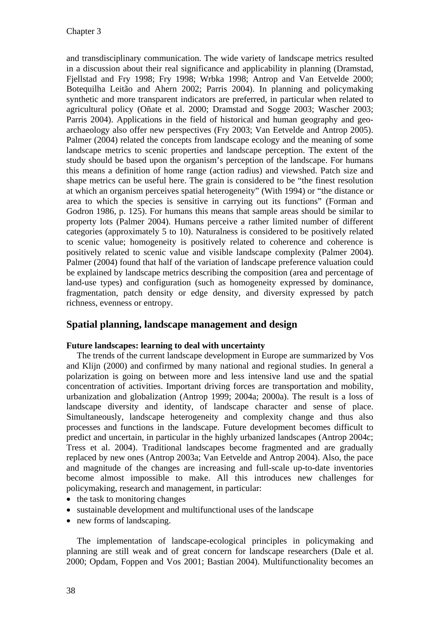and transdisciplinary communication. The wide variety of landscape metrics resulted in a discussion about their real significance and applicability in planning (Dramstad, Fjellstad and Fry 1998; Fry 1998; Wrbka 1998; Antrop and Van Eetvelde 2000; Botequilha Leitão and Ahern 2002; Parris 2004). In planning and policymaking synthetic and more transparent indicators are preferred, in particular when related to agricultural policy (Oñate et al. 2000; Dramstad and Sogge 2003; Wascher 2003; Parris 2004). Applications in the field of historical and human geography and geoarchaeology also offer new perspectives (Fry 2003; Van Eetvelde and Antrop 2005). Palmer (2004) related the concepts from landscape ecology and the meaning of some landscape metrics to scenic properties and landscape perception. The extent of the study should be based upon the organism's perception of the landscape. For humans this means a definition of home range (action radius) and viewshed. Patch size and shape metrics can be useful here. The grain is considered to be "the finest resolution at which an organism perceives spatial heterogeneity" (With 1994) or "the distance or area to which the species is sensitive in carrying out its functions" (Forman and Godron 1986, p. 125). For humans this means that sample areas should be similar to property lots (Palmer 2004). Humans perceive a rather limited number of different categories (approximately 5 to 10). Naturalness is considered to be positively related to scenic value; homogeneity is positively related to coherence and coherence is positively related to scenic value and visible landscape complexity (Palmer 2004). Palmer (2004) found that half of the variation of landscape preference valuation could be explained by landscape metrics describing the composition (area and percentage of land-use types) and configuration (such as homogeneity expressed by dominance, fragmentation, patch density or edge density, and diversity expressed by patch richness, evenness or entropy.

# **Spatial planning, landscape management and design**

### **Future landscapes: learning to deal with uncertainty**

The trends of the current landscape development in Europe are summarized by Vos and Klijn (2000) and confirmed by many national and regional studies. In general a polarization is going on between more and less intensive land use and the spatial concentration of activities. Important driving forces are transportation and mobility, urbanization and globalization (Antrop 1999; 2004a; 2000a). The result is a loss of landscape diversity and identity, of landscape character and sense of place. Simultaneously, landscape heterogeneity and complexity change and thus also processes and functions in the landscape. Future development becomes difficult to predict and uncertain, in particular in the highly urbanized landscapes (Antrop 2004c; Tress et al. 2004). Traditional landscapes become fragmented and are gradually replaced by new ones (Antrop 2003a; Van Eetvelde and Antrop 2004). Also, the pace and magnitude of the changes are increasing and full-scale up-to-date inventories become almost impossible to make. All this introduces new challenges for policymaking, research and management, in particular:

- $\bullet$  the task to monitoring changes
- $\bullet$  sustainable development and multifunctional uses of the landscape
- $\bullet$  new forms of landscaping.

The implementation of landscape-ecological principles in policymaking and planning are still weak and of great concern for landscape researchers (Dale et al. 2000; Opdam, Foppen and Vos 2001; Bastian 2004). Multifunctionality becomes an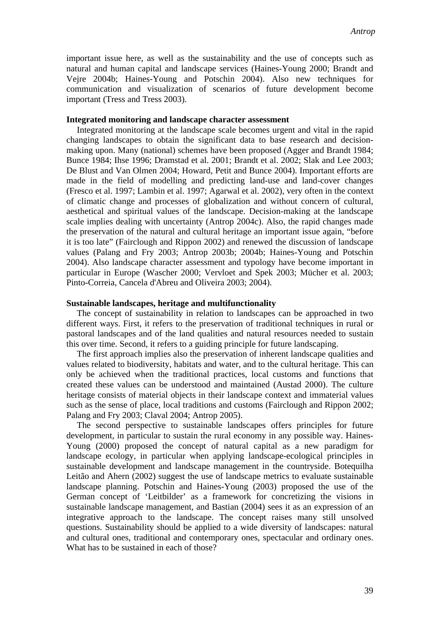important issue here, as well as the sustainability and the use of concepts such as natural and human capital and landscape services (Haines-Young 2000; Brandt and Vejre 2004b; Haines-Young and Potschin 2004). Also new techniques for communication and visualization of scenarios of future development become important (Tress and Tress 2003).

#### **Integrated monitoring and landscape character assessment**

Integrated monitoring at the landscape scale becomes urgent and vital in the rapid changing landscapes to obtain the significant data to base research and decisionmaking upon. Many (national) schemes have been proposed (Agger and Brandt 1984; Bunce 1984; Ihse 1996; Dramstad et al. 2001; Brandt et al. 2002; Slak and Lee 2003; De Blust and Van Olmen 2004; Howard, Petit and Bunce 2004). Important efforts are made in the field of modelling and predicting land-use and land-cover changes (Fresco et al. 1997; Lambin et al. 1997; Agarwal et al. 2002), very often in the context of climatic change and processes of globalization and without concern of cultural, aesthetical and spiritual values of the landscape. Decision-making at the landscape scale implies dealing with uncertainty (Antrop 2004c). Also, the rapid changes made the preservation of the natural and cultural heritage an important issue again, "before it is too late" (Fairclough and Rippon 2002) and renewed the discussion of landscape values (Palang and Fry 2003; Antrop 2003b; 2004b; Haines-Young and Potschin 2004). Also landscape character assessment and typology have become important in particular in Europe (Wascher 2000; Vervloet and Spek 2003; Mücher et al. 2003; Pinto-Correia, Cancela d'Abreu and Oliveira 2003; 2004).

### **Sustainable landscapes, heritage and multifunctionality**

The concept of sustainability in relation to landscapes can be approached in two different ways. First, it refers to the preservation of traditional techniques in rural or pastoral landscapes and of the land qualities and natural resources needed to sustain this over time. Second, it refers to a guiding principle for future landscaping.

The first approach implies also the preservation of inherent landscape qualities and values related to biodiversity, habitats and water, and to the cultural heritage. This can only be achieved when the traditional practices, local customs and functions that created these values can be understood and maintained (Austad 2000). The culture heritage consists of material objects in their landscape context and immaterial values such as the sense of place, local traditions and customs (Fairclough and Rippon 2002; Palang and Fry 2003; Claval 2004; Antrop 2005).

The second perspective to sustainable landscapes offers principles for future development, in particular to sustain the rural economy in any possible way. Haines-Young (2000) proposed the concept of natural capital as a new paradigm for landscape ecology, in particular when applying landscape-ecological principles in sustainable development and landscape management in the countryside. Botequilha Leitão and Ahern (2002) suggest the use of landscape metrics to evaluate sustainable landscape planning. Potschin and Haines-Young (2003) proposed the use of the German concept of 'Leitbilder' as a framework for concretizing the visions in sustainable landscape management, and Bastian (2004) sees it as an expression of an integrative approach to the landscape. The concept raises many still unsolved questions. Sustainability should be applied to a wide diversity of landscapes: natural and cultural ones, traditional and contemporary ones, spectacular and ordinary ones. What has to be sustained in each of those?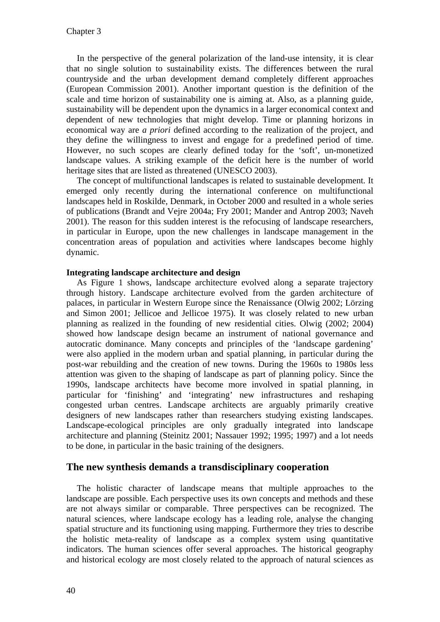In the perspective of the general polarization of the land-use intensity, it is clear that no single solution to sustainability exists. The differences between the rural countryside and the urban development demand completely different approaches (European Commission 2001). Another important question is the definition of the scale and time horizon of sustainability one is aiming at. Also, as a planning guide, sustainability will be dependent upon the dynamics in a larger economical context and dependent of new technologies that might develop. Time or planning horizons in economical way are *a priori* defined according to the realization of the project, and they define the willingness to invest and engage for a predefined period of time. However, no such scopes are clearly defined today for the 'soft', un-monetized landscape values. A striking example of the deficit here is the number of world heritage sites that are listed as threatened (UNESCO 2003).

The concept of multifunctional landscapes is related to sustainable development. It emerged only recently during the international conference on multifunctional landscapes held in Roskilde, Denmark, in October 2000 and resulted in a whole series of publications (Brandt and Vejre 2004a; Fry 2001; Mander and Antrop 2003; Naveh 2001). The reason for this sudden interest is the refocusing of landscape researchers, in particular in Europe, upon the new challenges in landscape management in the concentration areas of population and activities where landscapes become highly dynamic.

#### **Integrating landscape architecture and design**

As Figure 1 shows, landscape architecture evolved along a separate trajectory through history. Landscape architecture evolved from the garden architecture of palaces, in particular in Western Europe since the Renaissance (Olwig 2002; Lörzing and Simon 2001; Jellicoe and Jellicoe 1975). It was closely related to new urban planning as realized in the founding of new residential cities. Olwig (2002; 2004) showed how landscape design became an instrument of national governance and autocratic dominance. Many concepts and principles of the 'landscape gardening' were also applied in the modern urban and spatial planning, in particular during the post-war rebuilding and the creation of new towns. During the 1960s to 1980s less attention was given to the shaping of landscape as part of planning policy. Since the 1990s, landscape architects have become more involved in spatial planning, in particular for 'finishing' and 'integrating' new infrastructures and reshaping congested urban centres. Landscape architects are arguably primarily creative designers of new landscapes rather than researchers studying existing landscapes. Landscape-ecological principles are only gradually integrated into landscape architecture and planning (Steinitz 2001; Nassauer 1992; 1995; 1997) and a lot needs to be done, in particular in the basic training of the designers.

### **The new synthesis demands a transdisciplinary cooperation**

The holistic character of landscape means that multiple approaches to the landscape are possible. Each perspective uses its own concepts and methods and these are not always similar or comparable. Three perspectives can be recognized. The natural sciences, where landscape ecology has a leading role, analyse the changing spatial structure and its functioning using mapping. Furthermore they tries to describe the holistic meta-reality of landscape as a complex system using quantitative indicators. The human sciences offer several approaches. The historical geography and historical ecology are most closely related to the approach of natural sciences as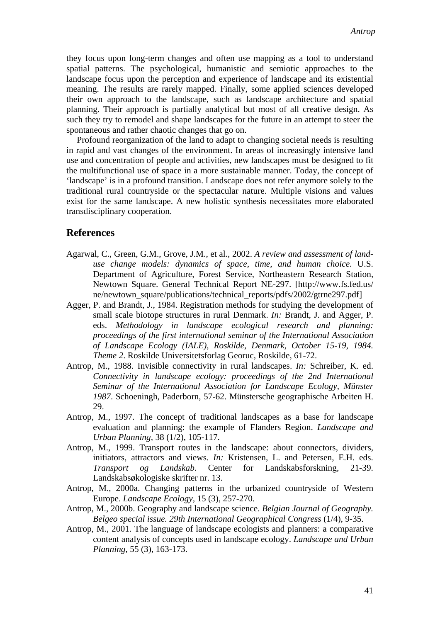they focus upon long-term changes and often use mapping as a tool to understand spatial patterns. The psychological, humanistic and semiotic approaches to the landscape focus upon the perception and experience of landscape and its existential meaning. The results are rarely mapped. Finally, some applied sciences developed their own approach to the landscape, such as landscape architecture and spatial planning. Their approach is partially analytical but most of all creative design. As such they try to remodel and shape landscapes for the future in an attempt to steer the spontaneous and rather chaotic changes that go on.

Profound reorganization of the land to adapt to changing societal needs is resulting in rapid and vast changes of the environment. In areas of increasingly intensive land use and concentration of people and activities, new landscapes must be designed to fit the multifunctional use of space in a more sustainable manner. Today, the concept of 'landscape' is in a profound transition. Landscape does not refer anymore solely to the traditional rural countryside or the spectacular nature. Multiple visions and values exist for the same landscape. A new holistic synthesis necessitates more elaborated transdisciplinary cooperation.

### **References**

- Agarwal, C., Green, G.M., Grove, J.M., et al., 2002. *A review and assessment of landuse change models: dynamics of space, time, and human choice*. U.S. Department of Agriculture, Forest Service, Northeastern Research Station, Newtown Square. General Technical Report NE-297. [http://www.fs.fed.us/ ne/newtown\_square/publications/technical\_reports/pdfs/2002/gtrne297.pdf]
- Agger, P. and Brandt, J., 1984. Registration methods for studying the development of small scale biotope structures in rural Denmark. *In:* Brandt, J. and Agger, P. eds. *Methodology in landscape ecological research and planning: proceedings of the first international seminar of the International Association of Landscape Ecology (IALE), Roskilde, Denmark, October 15-19, 1984. Theme 2*. Roskilde Universitetsforlag Georuc, Roskilde, 61-72.
- Antrop, M., 1988. Invisible connectivity in rural landscapes. *In:* Schreiber, K. ed. *Connectivity in landscape ecology: proceedings of the 2nd International Seminar of the International Association for Landscape Ecology, Münster 1987*. Schoeningh, Paderborn, 57-62. Münstersche geographische Arbeiten H. 29.
- Antrop, M., 1997. The concept of traditional landscapes as a base for landscape evaluation and planning: the example of Flanders Region. *Landscape and Urban Planning,* 38 (1/2), 105-117.
- Antrop, M., 1999. Transport routes in the landscape: about connectors, dividers, initiators, attractors and views. *In:* Kristensen, L. and Petersen, E.H. eds. *Transport og Landskab*. Center for Landskabsforskning, 21-39. Landskabsøkologiske skrifter nr. 13.
- Antrop, M., 2000a. Changing patterns in the urbanized countryside of Western Europe. *Landscape Ecology,* 15 (3), 257-270.
- Antrop, M., 2000b. Geography and landscape science. *Belgian Journal of Geography. Belgeo special issue. 29th International Geographical Congress* (1/4), 9-35.
- Antrop, M., 2001. The language of landscape ecologists and planners: a comparative content analysis of concepts used in landscape ecology. *Landscape and Urban Planning,* 55 (3), 163-173.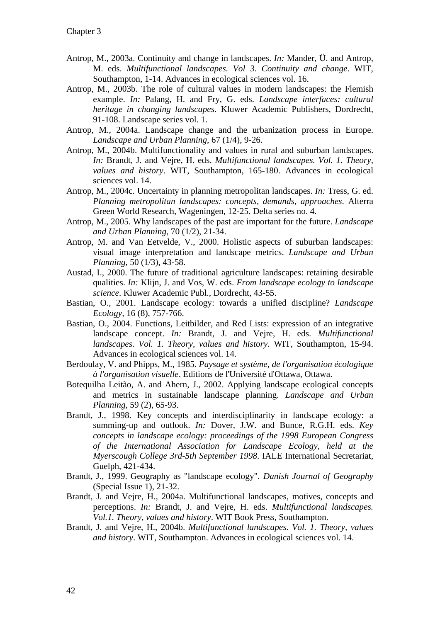- Antrop, M., 2003a. Continuity and change in landscapes. *In:* Mander, Ü. and Antrop, M. eds. *Multifunctional landscapes. Vol 3. Continuity and change*. WIT, Southampton, 1-14. Advances in ecological sciences vol. 16.
- Antrop, M., 2003b. The role of cultural values in modern landscapes: the Flemish example. *In:* Palang, H. and Fry, G. eds. *Landscape interfaces: cultural heritage in changing landscapes*. Kluwer Academic Publishers, Dordrecht, 91-108. Landscape series vol. 1.
- Antrop, M., 2004a. Landscape change and the urbanization process in Europe. *Landscape and Urban Planning,* 67 (1/4), 9-26.
- Antrop, M., 2004b. Multifunctionality and values in rural and suburban landscapes. *In:* Brandt, J. and Vejre, H. eds. *Multifunctional landscapes. Vol. 1. Theory, values and history*. WIT, Southampton, 165-180. Advances in ecological sciences vol. 14.
- Antrop, M., 2004c. Uncertainty in planning metropolitan landscapes. *In:* Tress, G. ed. *Planning metropolitan landscapes: concepts, demands, approaches*. Alterra Green World Research, Wageningen, 12-25. Delta series no. 4.
- Antrop, M., 2005. Why landscapes of the past are important for the future. *Landscape and Urban Planning,* 70 (1/2), 21-34.
- Antrop, M. and Van Eetvelde, V., 2000. Holistic aspects of suburban landscapes: visual image interpretation and landscape metrics. *Landscape and Urban Planning,* 50 (1/3), 43-58.
- Austad, I., 2000. The future of traditional agriculture landscapes: retaining desirable qualities. *In:* Klijn, J. and Vos, W. eds. *From landscape ecology to landscape science*. Kluwer Academic Publ., Dordrecht, 43-55.
- Bastian, O., 2001. Landscape ecology: towards a unified discipline? *Landscape Ecology,* 16 (8), 757-766.
- Bastian, O., 2004. Functions, Leitbilder, and Red Lists: expression of an integrative landscape concept. *In:* Brandt, J. and Vejre, H. eds. *Multifunctional landscapes. Vol. 1. Theory, values and history*. WIT, Southampton, 15-94. Advances in ecological sciences vol. 14.
- Berdoulay, V. and Phipps, M., 1985. *Paysage et système, de l'organisation écologique à l'organisation visuelle*. Editions de l'Université d'Ottawa, Ottawa.
- Botequilha Leitão, A. and Ahern, J., 2002. Applying landscape ecological concepts and metrics in sustainable landscape planning. *Landscape and Urban Planning,* 59 (2), 65-93.
- Brandt, J., 1998. Key concepts and interdisciplinarity in landscape ecology: a summing-up and outlook. *In:* Dover, J.W. and Bunce, R.G.H. eds. *Key concepts in landscape ecology: proceedings of the 1998 European Congress of the International Association for Landscape Ecology, held at the Myerscough College 3rd-5th September 1998*. IALE International Secretariat, Guelph, 421-434.
- Brandt, J., 1999. Geography as "landscape ecology". *Danish Journal of Geography* (Special Issue 1), 21-32.
- Brandt, J. and Vejre, H., 2004a. Multifunctional landscapes, motives, concepts and perceptions. *In:* Brandt, J. and Vejre, H. eds. *Multifunctional landscapes. Vol.1. Theory, values and history*. WIT Book Press, Southampton.
- Brandt, J. and Vejre, H., 2004b. *Multifunctional landscapes. Vol. 1. Theory, values and history*. WIT, Southampton. Advances in ecological sciences vol. 14.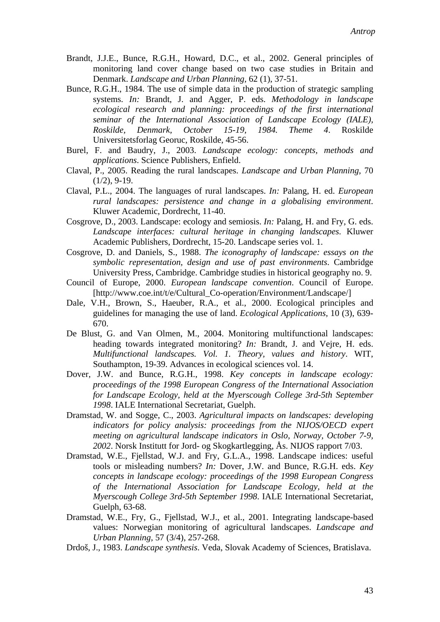- Brandt, J.J.E., Bunce, R.G.H., Howard, D.C., et al., 2002. General principles of monitoring land cover change based on two case studies in Britain and Denmark. *Landscape and Urban Planning,* 62 (1), 37-51.
- Bunce, R.G.H., 1984. The use of simple data in the production of strategic sampling systems. *In:* Brandt, J. and Agger, P. eds. *Methodology in landscape ecological research and planning: proceedings of the first international seminar of the International Association of Landscape Ecology (IALE), Roskilde, Denmark, October 15-19, 1984. Theme 4*. Roskilde Universitetsforlag Georuc, Roskilde, 45-56.
- Burel, F. and Baudry, J., 2003. *Landscape ecology: concepts, methods and applications*. Science Publishers, Enfield.
- Claval, P., 2005. Reading the rural landscapes. *Landscape and Urban Planning,* 70  $(1/2)$ , 9-19.
- Claval, P.L., 2004. The languages of rural landscapes. *In:* Palang, H. ed. *European rural landscapes: persistence and change in a globalising environment*. Kluwer Academic, Dordrecht, 11-40.
- Cosgrove, D., 2003. Landscape: ecology and semiosis. *In:* Palang, H. and Fry, G. eds. *Landscape interfaces: cultural heritage in changing landscapes*. Kluwer Academic Publishers, Dordrecht, 15-20. Landscape series vol. 1.
- Cosgrove, D. and Daniels, S., 1988. *The iconography of landscape: essays on the symbolic representation, design and use of past environments*. Cambridge University Press, Cambridge. Cambridge studies in historical geography no. 9.
- Council of Europe, 2000. *European landscape convention*. Council of Europe. [http://www.coe.int/t/e/Cultural\_Co-operation/Environment/Landscape/]
- Dale, V.H., Brown, S., Haeuber, R.A., et al., 2000. Ecological principles and guidelines for managing the use of land. *Ecological Applications,* 10 (3), 639- 670.
- De Blust, G. and Van Olmen, M., 2004. Monitoring multifunctional landscapes: heading towards integrated monitoring? *In:* Brandt, J. and Vejre, H. eds. *Multifunctional landscapes. Vol. 1. Theory, values and history*. WIT, Southampton, 19-39. Advances in ecological sciences vol. 14.
- Dover, J.W. and Bunce, R.G.H., 1998. *Key concepts in landscape ecology: proceedings of the 1998 European Congress of the International Association for Landscape Ecology, held at the Myerscough College 3rd-5th September 1998*. IALE International Secretariat, Guelph.
- Dramstad, W. and Sogge, C., 2003. *Agricultural impacts on landscapes: developing indicators for policy analysis: proceedings from the NIJOS/OECD expert meeting on agricultural landscape indicators in Oslo, Norway, October 7-9, 2002*. Norsk Institutt for Jord- og Skogkartlegging, Ås. NIJOS rapport 7/03.
- Dramstad, W.E., Fjellstad, W.J. and Fry, G.L.A., 1998. Landscape indices: useful tools or misleading numbers? *In:* Dover, J.W. and Bunce, R.G.H. eds. *Key concepts in landscape ecology: proceedings of the 1998 European Congress of the International Association for Landscape Ecology, held at the Myerscough College 3rd-5th September 1998*. IALE International Secretariat, Guelph, 63-68.
- Dramstad, W.E., Fry, G., Fjellstad, W.J., et al., 2001. Integrating landscape-based values: Norwegian monitoring of agricultural landscapes. *Landscape and Urban Planning,* 57 (3/4), 257-268.
- Drdoš, J., 1983. *Landscape synthesis*. Veda, Slovak Academy of Sciences, Bratislava.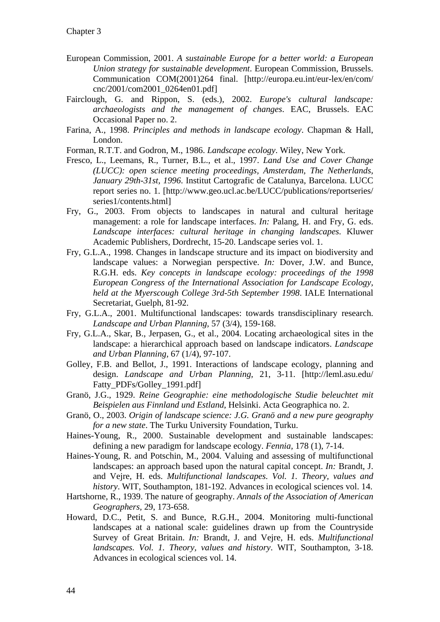- European Commission, 2001. *A sustainable Europe for a better world: a European Union strategy for sustainable development*. European Commission, Brussels. Communication COM(2001)264 final. [http://europa.eu.int/eur-lex/en/com/ cnc/2001/com2001\_0264en01.pdf]
- Fairclough, G. and Rippon, S. (eds.), 2002. *Europe's cultural landscape: archaeologists and the management of changes*. EAC, Brussels. EAC Occasional Paper no. 2.
- Farina, A., 1998. *Principles and methods in landscape ecology*. Chapman & Hall, London.
- Forman, R.T.T. and Godron, M., 1986. *Landscape ecology*. Wiley, New York.
- Fresco, L., Leemans, R., Turner, B.L., et al., 1997. *Land Use and Cover Change (LUCC): open science meeting proceedings, Amsterdam, The Netherlands, January 29th-31st, 1996*. Institut Cartografic de Catalunya, Barcelona. LUCC report series no. 1. [http://www.geo.ucl.ac.be/LUCC/publications/reportseries/ series1/contents.html]
- Fry, G., 2003. From objects to landscapes in natural and cultural heritage management: a role for landscape interfaces. *In:* Palang, H. and Fry, G. eds. *Landscape interfaces: cultural heritage in changing landscapes*. Kluwer Academic Publishers, Dordrecht, 15-20. Landscape series vol. 1.
- Fry, G.L.A., 1998. Changes in landscape structure and its impact on biodiversity and landscape values: a Norwegian perspective. *In:* Dover, J.W. and Bunce, R.G.H. eds. *Key concepts in landscape ecology: proceedings of the 1998 European Congress of the International Association for Landscape Ecology, held at the Myerscough College 3rd-5th September 1998*. IALE International Secretariat, Guelph, 81-92.
- Fry, G.L.A., 2001. Multifunctional landscapes: towards transdisciplinary research. *Landscape and Urban Planning,* 57 (3/4), 159-168.
- Fry, G.L.A., Skar, B., Jerpasen, G., et al., 2004. Locating archaeological sites in the landscape: a hierarchical approach based on landscape indicators. *Landscape and Urban Planning,* 67 (1/4), 97-107.
- Golley, F.B. and Bellot, J., 1991. Interactions of landscape ecology, planning and design. *Landscape and Urban Planning,* 21, 3-11. [http://leml.asu.edu/ Fatty\_PDFs/Golley\_1991.pdf]
- Granö, J.G., 1929. *Reine Geographie: eine methodologische Studie beleuchtet mit Beispielen aus Finnland und Estland*, Helsinki. Acta Geographica no. 2.
- Granö, O., 2003. *Origin of landscape science: J.G. Granö and a new pure geography for a new state*. The Turku University Foundation, Turku.
- Haines-Young, R., 2000. Sustainable development and sustainable landscapes: defining a new paradigm for landscape ecology. *Fennia,* 178 (1), 7-14.
- Haines-Young, R. and Potschin, M., 2004. Valuing and assessing of multifunctional landscapes: an approach based upon the natural capital concept. *In:* Brandt, J. and Vejre, H. eds. *Multifunctional landscapes. Vol. 1. Theory, values and history*. WIT, Southampton, 181-192. Advances in ecological sciences vol. 14.
- Hartshorne, R., 1939. The nature of geography. *Annals of the Association of American Geographers,* 29, 173-658.
- Howard, D.C., Petit, S. and Bunce, R.G.H., 2004. Monitoring multi-functional landscapes at a national scale: guidelines drawn up from the Countryside Survey of Great Britain. *In:* Brandt, J. and Vejre, H. eds. *Multifunctional landscapes. Vol. 1. Theory, values and history*. WIT, Southampton, 3-18. Advances in ecological sciences vol. 14.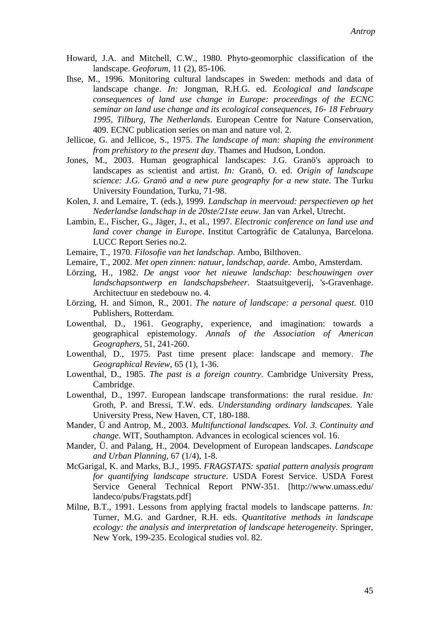- Howard, J.A. and Mitchell, C.W., 1980. Phyto-geomorphic classification of the landscape. *Geoforum,* 11 (2), 85-106.
- Ihse, M., 1996. Monitoring cultural landscapes in Sweden: methods and data of landscape change. *In:* Jongman, R.H.G. ed. *Ecological and landscape consequences of land use change in Europe: proceedings of the ECNC seminar on land use change and its ecological consequences, 16- 18 February 1995, Tilburg, The Netherlands*. European Centre for Nature Conservation, 409. ECNC publication series on man and nature vol. 2.
- Jellicoe, G. and Jellicoe, S., 1975. *The landscape of man: shaping the environment from prehistory to the present day*. Thames and Hudson, London.
- Jones, M., 2003. Human geographical landscapes: J.G. Granö's approach to landscapes as scientist and artist. *In:* Granö, O. ed. *Origin of landscape science: J.G. Granö and a new pure geography for a new state*. The Turku University Foundation, Turku, 71-98.
- Kolen, J. and Lemaire, T. (eds.), 1999. *Landschap in meervoud: perspectieven op het Nederlandse landschap in de 20ste/21ste eeuw*. Jan van Arkel, Utrecht.
- Lambin, E., Fischer, G., Jäger, J., et al., 1997. *Electronic conference on land use and land cover change in Europe*. Institut Cartogràfic de Catalunya, Barcelona. LUCC Report Series no.2.
- Lemaire, T., 1970. *Filosofie van het landschap*. Ambo, Bilthoven.
- Lemaire, T., 2002. *Met open zinnen: natuur, landschap, aarde*. Ambo, Amsterdam.
- Lörzing, H., 1982. *De angst voor het nieuwe landschap: beschouwingen over landschapsontwerp en landschapsbeheer*. Staatsuitgeverij, 's-Gravenhage. Architectuur en stedebouw no. 4.
- Lörzing, H. and Simon, R., 2001. *The nature of landscape: a personal quest*. 010 Publishers, Rotterdam.
- Lowenthal, D., 1961. Geography, experience, and imagination: towards a geographical epistemology. *Annals of the Association of American Geographers,* 51, 241-260.
- Lowenthal, D., 1975. Past time present place: landscape and memory. *The Geographical Review,* 65 (1), 1-36.
- Lowenthal, D., 1985. *The past is a foreign country*. Cambridge University Press, Cambridge.
- Lowenthal, D., 1997. European landscape transformations: the rural residue. *In:* Groth, P. and Bressi, T.W. eds. *Understanding ordinary landscapes*. Yale University Press, New Haven, CT, 180-188.
- Mander, Ü and Antrop, M., 2003. *Multifunctional landscapes. Vol. 3. Continuity and change*. WIT, Southampton. Advances in ecological sciences vol. 16.
- Mander, Ü. and Palang, H., 2004. Development of European landscapes. *Landscape and Urban Planning,* 67 (1/4), 1-8.
- McGarigal, K. and Marks, B.J., 1995. *FRAGSTATS: spatial pattern analysis program for quantifying landscape structure*. USDA Forest Service. USDA Forest Service General Technical Report PNW-351. [http://www.umass.edu/ landeco/pubs/Fragstats.pdf]
- Milne, B.T., 1991. Lessons from applying fractal models to landscape patterns. *In:* Turner, M.G. and Gardner, R.H. eds. *Quantitative methods in landscape ecology: the analysis and interpretation of landscape heterogeneity*. Springer, New York, 199-235. Ecological studies vol. 82.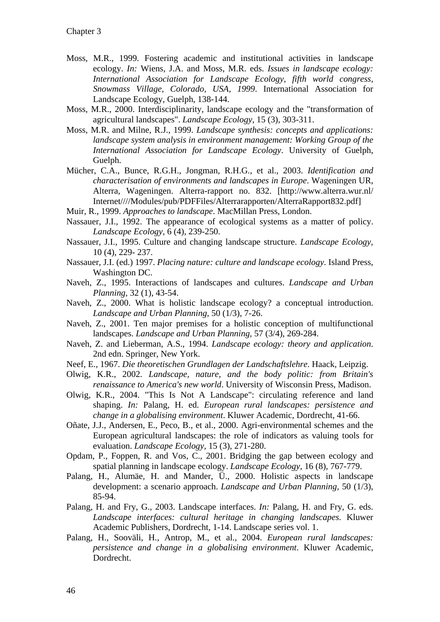- Moss, M.R., 1999. Fostering academic and institutional activities in landscape ecology. *In:* Wiens, J.A. and Moss, M.R. eds. *Issues in landscape ecology: International Association for Landscape Ecology, fifth world congress, Snowmass Village, Colorado, USA, 1999*. International Association for Landscape Ecology, Guelph, 138-144.
- Moss, M.R., 2000. Interdisciplinarity, landscape ecology and the "transformation of agricultural landscapes". *Landscape Ecology,* 15 (3), 303-311.
- Moss, M.R. and Milne, R.J., 1999. *Landscape synthesis: concepts and applications: landscape system analysis in environment management: Working Group of the International Association for Landscape Ecology*. University of Guelph, Guelph.
- Mücher, C.A., Bunce, R.G.H., Jongman, R.H.G., et al., 2003. *Identification and characterisation of environments and landscapes in Europe*. Wageningen UR, Alterra, Wageningen. Alterra-rapport no. 832. [http://www.alterra.wur.nl/ Internet////Modules/pub/PDFFiles/Alterrarapporten/AlterraRapport832.pdf]
- Muir, R., 1999. *Approaches to landscape*. MacMillan Press, London.
- Nassauer, J.I., 1992. The appearance of ecological systems as a matter of policy. *Landscape Ecology,* 6 (4), 239-250.
- Nassauer, J.I., 1995. Culture and changing landscape structure. *Landscape Ecology,* 10 (4), 229- 237.
- Nassauer, J.I. (ed.) 1997. *Placing nature: culture and landscape ecology*. Island Press, Washington DC.
- Naveh, Z., 1995. Interactions of landscapes and cultures. *Landscape and Urban Planning,* 32 (1), 43-54.
- Naveh, Z., 2000. What is holistic landscape ecology? a conceptual introduction. *Landscape and Urban Planning,* 50 (1/3), 7-26.
- Naveh, Z., 2001. Ten major premises for a holistic conception of multifunctional landscapes. *Landscape and Urban Planning,* 57 (3/4), 269-284.
- Naveh, Z. and Lieberman, A.S., 1994. *Landscape ecology: theory and application*. 2nd edn. Springer, New York.
- Neef, E., 1967. *Die theoretischen Grundlagen der Landschaftslehre*. Haack, Leipzig.
- Olwig, K.R., 2002. *Landscape, nature, and the body politic: from Britain's renaissance to America's new world*. University of Wisconsin Press, Madison.
- Olwig, K.R., 2004. "This Is Not A Landscape": circulating reference and land shaping. *In:* Palang, H. ed. *European rural landscapes: persistence and change in a globalising environment*. Kluwer Academic, Dordrecht, 41-66.
- Oñate, J.J., Andersen, E., Peco, B., et al., 2000. Agri-environmental schemes and the European agricultural landscapes: the role of indicators as valuing tools for evaluation. *Landscape Ecology,* 15 (3), 271-280.
- Opdam, P., Foppen, R. and Vos, C., 2001. Bridging the gap between ecology and spatial planning in landscape ecology. *Landscape Ecology,* 16 (8), 767-779.
- Palang, H., Alumäe, H. and Mander, Ü., 2000. Holistic aspects in landscape development: a scenario approach. *Landscape and Urban Planning,* 50 (1/3), 85-94.
- Palang, H. and Fry, G., 2003. Landscape interfaces. *In:* Palang, H. and Fry, G. eds. *Landscape interfaces: cultural heritage in changing landscapes*. Kluwer Academic Publishers, Dordrecht, 1-14. Landscape series vol. 1.
- Palang, H., Sooväli, H., Antrop, M., et al., 2004. *European rural landscapes: persistence and change in a globalising environment*. Kluwer Academic, Dordrecht.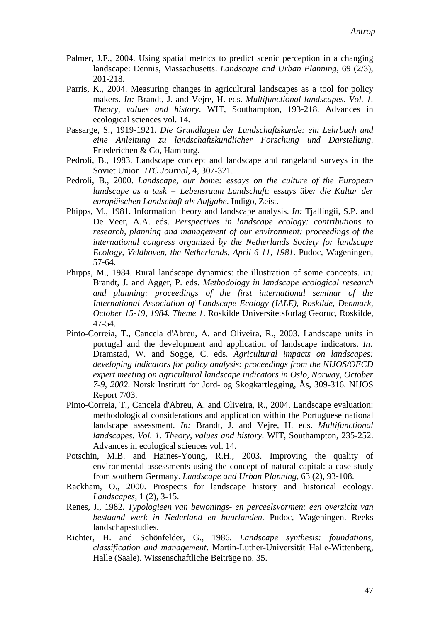- Palmer, J.F., 2004. Using spatial metrics to predict scenic perception in a changing landscape: Dennis, Massachusetts. *Landscape and Urban Planning,* 69 (2/3), 201-218.
- Parris, K., 2004. Measuring changes in agricultural landscapes as a tool for policy makers. *In:* Brandt, J. and Vejre, H. eds. *Multifunctional landscapes. Vol. 1. Theory, values and history*. WIT, Southampton, 193-218. Advances in ecological sciences vol. 14.
- Passarge, S., 1919-1921. *Die Grundlagen der Landschaftskunde: ein Lehrbuch und eine Anleitung zu landschaftskundlicher Forschung und Darstellung*. Friederichen & Co, Hamburg.
- Pedroli, B., 1983. Landscape concept and landscape and rangeland surveys in the Soviet Union. *ITC Journal,* 4, 307-321.
- Pedroli, B., 2000. *Landscape, our home: essays on the culture of the European landscape as a task = Lebensraum Landschaft: essays über die Kultur der europäischen Landschaft als Aufgabe*. Indigo, Zeist.
- Phipps, M., 1981. Information theory and landscape analysis. *In:* Tjallingii, S.P. and De Veer, A.A. eds. *Perspectives in landscape ecology: contributions to research, planning and management of our environment: proceedings of the international congress organized by the Netherlands Society for landscape Ecology, Veldhoven, the Netherlands, April 6-11, 1981*. Pudoc, Wageningen, 57-64.
- Phipps, M., 1984. Rural landscape dynamics: the illustration of some concepts. *In:* Brandt, J. and Agger, P. eds. *Methodology in landscape ecological research and planning: proceedings of the first international seminar of the International Association of Landscape Ecology (IALE), Roskilde, Denmark, October 15-19, 1984. Theme 1*. Roskilde Universitetsforlag Georuc, Roskilde, 47-54.
- Pinto-Correia, T., Cancela d'Abreu, A. and Oliveira, R., 2003. Landscape units in portugal and the development and application of landscape indicators. *In:* Dramstad, W. and Sogge, C. eds. *Agricultural impacts on landscapes: developing indicators for policy analysis: proceedings from the NIJOS/OECD expert meeting on agricultural landscape indicators in Oslo, Norway, October 7-9, 2002*. Norsk Institutt for Jord- og Skogkartlegging, Ås, 309-316. NIJOS Report 7/03.
- Pinto-Correia, T., Cancela d'Abreu, A. and Oliveira, R., 2004. Landscape evaluation: methodological considerations and application within the Portuguese national landscape assessment. *In:* Brandt, J. and Vejre, H. eds. *Multifunctional landscapes. Vol. 1. Theory, values and history*. WIT, Southampton, 235-252. Advances in ecological sciences vol. 14.
- Potschin, M.B. and Haines-Young, R.H., 2003. Improving the quality of environmental assessments using the concept of natural capital: a case study from southern Germany. *Landscape and Urban Planning,* 63 (2), 93-108.
- Rackham, O., 2000. Prospects for landscape history and historical ecology. *Landscapes,* 1 (2), 3-15.
- Renes, J., 1982. *Typologieen van bewonings- en perceelsvormen: een overzicht van bestaand werk in Nederland en buurlanden*. Pudoc, Wageningen. Reeks landschapsstudies.
- Richter, H. and Schönfelder, G., 1986. *Landscape synthesis: foundations, classification and management*. Martin-Luther-Universität Halle-Wittenberg, Halle (Saale). Wissenschaftliche Beiträge no. 35.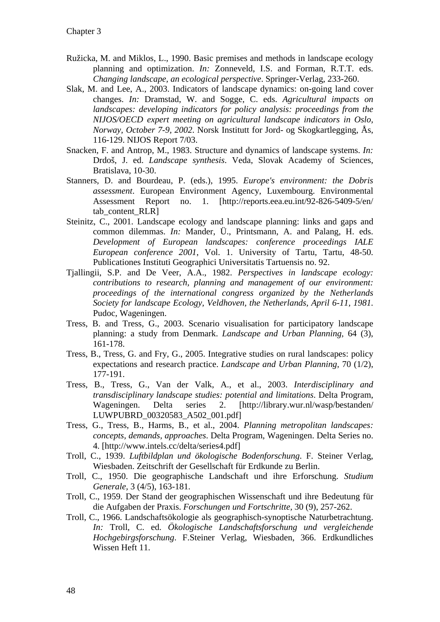- Ružicka, M. and Miklos, L., 1990. Basic premises and methods in landscape ecology planning and optimization. *In:* Zonneveld, I.S. and Forman, R.T.T. eds. *Changing landscape, an ecological perspective*. Springer-Verlag, 233-260.
- Slak, M. and Lee, A., 2003. Indicators of landscape dynamics: on-going land cover changes. *In:* Dramstad, W. and Sogge, C. eds. *Agricultural impacts on landscapes: developing indicators for policy analysis: proceedings from the NIJOS/OECD expert meeting on agricultural landscape indicators in Oslo, Norway, October 7-9, 2002*. Norsk Institutt for Jord- og Skogkartlegging, Ås, 116-129. NIJOS Report 7/03.
- Snacken, F. and Antrop, M., 1983. Structure and dynamics of landscape systems. *In:* Drdoš, J. ed. *Landscape synthesis*. Veda, Slovak Academy of Sciences, Bratislava, 10-30.
- Stanners, D. and Bourdeau, P. (eds.), 1995. *Europe's environment: the Dobris assessment*. European Environment Agency, Luxembourg. Environmental Assessment Report no. 1. [http://reports.eea.eu.int/92-826-5409-5/en/ tab content RLR]
- Steinitz, C., 2001. Landscape ecology and landscape planning: links and gaps and common dilemmas. *In:* Mander, Ü., Printsmann, A. and Palang, H. eds. *Development of European landscapes: conference proceedings IALE European conference 2001*, Vol. 1. University of Tartu, Tartu, 48-50. Publicationes Instituti Geographici Universitatis Tartuensis no. 92.
- Tjallingii, S.P. and De Veer, A.A., 1982. *Perspectives in landscape ecology: contributions to research, planning and management of our environment: proceedings of the international congress organized by the Netherlands Society for landscape Ecology, Veldhoven, the Netherlands, April 6-11, 1981*. Pudoc, Wageningen.
- Tress, B. and Tress, G., 2003. Scenario visualisation for participatory landscape planning: a study from Denmark. *Landscape and Urban Planning,* 64 (3), 161-178.
- Tress, B., Tress, G. and Fry, G., 2005. Integrative studies on rural landscapes: policy expectations and research practice. *Landscape and Urban Planning,* 70 (1/2), 177-191.
- Tress, B., Tress, G., Van der Valk, A., et al., 2003. *Interdisciplinary and transdisciplinary landscape studies: potential and limitations*. Delta Program, Wageningen. Delta series 2. [http://library.wur.nl/wasp/bestanden/ LUWPUBRD\_00320583\_A502\_001.pdf]
- Tress, G., Tress, B., Harms, B., et al., 2004. *Planning metropolitan landscapes: concepts, demands, approaches*. Delta Program, Wageningen. Delta Series no. 4. [http://www.intels.cc/delta/series4.pdf]
- Troll, C., 1939. *Luftbildplan und ökologische Bodenforschung*. F. Steiner Verlag, Wiesbaden. Zeitschrift der Gesellschaft für Erdkunde zu Berlin.
- Troll, C., 1950. Die geographische Landschaft und ihre Erforschung. *Studium Generale,* 3 (4/5), 163-181.
- Troll, C., 1959. Der Stand der geographischen Wissenschaft und ihre Bedeutung für die Aufgaben der Praxis. *Forschungen und Fortschritte,* 30 (9), 257-262.
- Troll, C., 1966. Landschaftsökologie als geographisch-synoptische Naturbetrachtung. *In:* Troll, C. ed. *Ökologische Landschaftsforschung und vergleichende Hochgebirgsforschung*. F.Steiner Verlag, Wiesbaden, 366. Erdkundliches Wissen Heft 11.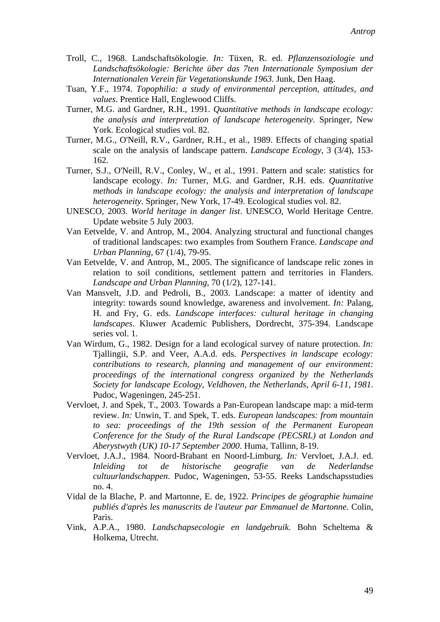- Troll, C., 1968. Landschaftsökologie. *In:* Tüxen, R. ed. *Pflanzensoziologie und Landschaftsökologie: Berichte über das 7ten Internationale Symposium der Internationalen Verein für Vegetationskunde 1963*. Junk, Den Haag.
- Tuan, Y.F., 1974. *Topophilia: a study of environmental perception, attitudes, and values*. Prentice Hall, Englewood Cliffs.
- Turner, M.G. and Gardner, R.H., 1991. *Quantitative methods in landscape ecology: the analysis and interpretation of landscape heterogeneity*. Springer, New York. Ecological studies vol. 82.
- Turner, M.G., O'Neill, R.V., Gardner, R.H., et al., 1989. Effects of changing spatial scale on the analysis of landscape pattern. *Landscape Ecology,* 3 (3/4), 153- 162.
- Turner, S.J., O'Neill, R.V., Conley, W., et al., 1991. Pattern and scale: statistics for landscape ecology. *In:* Turner, M.G. and Gardner, R.H. eds. *Quantitative methods in landscape ecology: the analysis and interpretation of landscape heterogeneity*. Springer, New York, 17-49. Ecological studies vol. 82.
- UNESCO, 2003. *World heritage in danger list*. UNESCO, World Heritage Centre. Update website 5 July 2003.
- Van Eetvelde, V. and Antrop, M., 2004. Analyzing structural and functional changes of traditional landscapes: two examples from Southern France. *Landscape and Urban Planning,* 67 (1/4), 79-95.
- Van Eetvelde, V. and Antrop, M., 2005. The significance of landscape relic zones in relation to soil conditions, settlement pattern and territories in Flanders. *Landscape and Urban Planning,* 70 (1/2), 127-141.
- Van Mansvelt, J.D. and Pedroli, B., 2003. Landscape: a matter of identity and integrity: towards sound knowledge, awareness and involvement. *In:* Palang, H. and Fry, G. eds. *Landscape interfaces: cultural heritage in changing landscapes*. Kluwer Academic Publishers, Dordrecht, 375-394. Landscape series vol. 1.
- Van Wirdum, G., 1982. Design for a land ecological survey of nature protection. *In:* Tjallingii, S.P. and Veer, A.A.d. eds. *Perspectives in landscape ecology: contributions to research, planning and management of our environment: proceedings of the international congress organized by the Netherlands Society for landscape Ecology, Veldhoven, the Netherlands, April 6-11, 1981*. Pudoc, Wageningen, 245-251.
- Vervloet, J. and Spek, T., 2003. Towards a Pan-European landscape map: a mid-term review. *In:* Unwin, T. and Spek, T. eds. *European landscapes: from mountain to sea: proceedings of the 19th session of the Permanent European Conference for the Study of the Rural Landscape (PECSRL) at London and Aberystwyth (UK) 10-17 September 2000*. Huma, Tallinn, 8-19.
- Vervloet, J.A.J., 1984. Noord-Brabant en Noord-Limburg. *In:* Vervloet, J.A.J. ed. *Inleiding tot de historische geografie van de Nederlandse cultuurlandschappen*. Pudoc, Wageningen, 53-55. Reeks Landschapsstudies no. 4.
- Vidal de la Blache, P. and Martonne, E. de, 1922. *Principes de géographie humaine publiés d'après les manuscrits de l'auteur par Emmanuel de Martonne*. Colin, Paris.
- Vink, A.P.A., 1980. *Landschapsecologie en landgebruik*. Bohn Scheltema & Holkema, Utrecht.